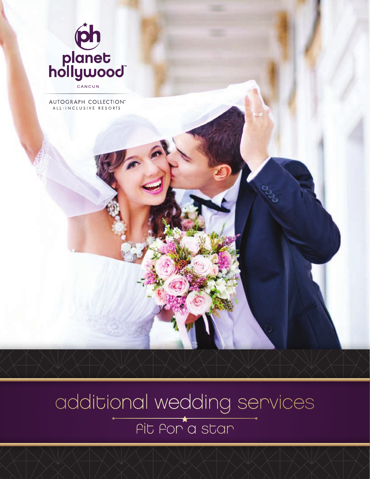

# additional wedding services fit for a star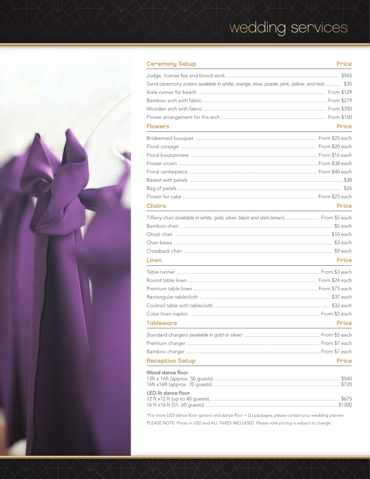## wedding services



| <b>Ceremony Setup</b>                                                                              | <b>Price</b> |
|----------------------------------------------------------------------------------------------------|--------------|
|                                                                                                    |              |
| Sand ceremony (colors available in white, orange, blue, purple, pink, yellow, and red) \$35        |              |
|                                                                                                    |              |
|                                                                                                    |              |
|                                                                                                    |              |
|                                                                                                    |              |
| <b>Flowers</b>                                                                                     | Price        |
|                                                                                                    |              |
|                                                                                                    |              |
|                                                                                                    |              |
|                                                                                                    |              |
|                                                                                                    |              |
|                                                                                                    |              |
|                                                                                                    |              |
|                                                                                                    |              |
| <b>Chairs</b>                                                                                      | <b>Price</b> |
| Tiffany chair (available in white, gold, silver, black and dark brown)  From \$5 each              |              |
|                                                                                                    |              |
|                                                                                                    |              |
|                                                                                                    |              |
|                                                                                                    |              |
| Linen<br>the control of the control of the control of the control of the control of the control of | <b>Price</b> |
|                                                                                                    |              |
|                                                                                                    |              |
|                                                                                                    |              |
|                                                                                                    |              |
|                                                                                                    |              |
|                                                                                                    |              |
| <b>Tableware</b>                                                                                   | Price        |
|                                                                                                    |              |
|                                                                                                    |              |
|                                                                                                    |              |
| <b>Reception Setup</b>                                                                             | <b>Price</b> |
| Wood dance floor                                                                                   |              |
|                                                                                                    |              |
|                                                                                                    |              |
| LED-lit dance floor                                                                                |              |
|                                                                                                    |              |

\*For more LED dance floor options and dance floor + DJ packages, please contact your wedding planner. PLEASE NOTE: Prices in USD and ALL TAXES INCLUDED. Please note pricing is subject to change.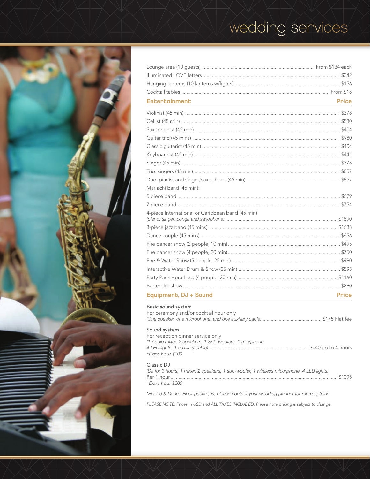### wedding services



| <b>Entertainment</b>                                         | <b>Price</b> |
|--------------------------------------------------------------|--------------|
|                                                              |              |
|                                                              |              |
|                                                              |              |
|                                                              |              |
|                                                              |              |
|                                                              |              |
|                                                              |              |
|                                                              |              |
|                                                              |              |
| Mariachi band (45 min):                                      |              |
|                                                              |              |
|                                                              |              |
| 4-piece International or Caribbean band (45 min)             |              |
|                                                              |              |
|                                                              |              |
|                                                              |              |
|                                                              |              |
|                                                              |              |
|                                                              |              |
|                                                              |              |
|                                                              |              |
| <b>Equipment, DJ + Sound</b>                                 | <b>Price</b> |
| Basic sound system<br>For ceremony and/or cocktail hour only |              |

### Sound system

For reception dinner service only (1 Audio mixer, 2 speakers, 1 Sub-woofers, 1 micrphone, \*Extra hour \$100

#### Classic DJ

(DJ for 3 hours, 1 mixer, 2 speakers, 1 sub-woofer, 1 wireless micorphone, 4 LED lights) \*Extra hour \$200

\*For DJ & Dance Floor packages, please contact your wedding planner for more options.

PLEASE NOTE: Prices in USD and ALL TAXES INCLUDED. Please note pricing is subject to change.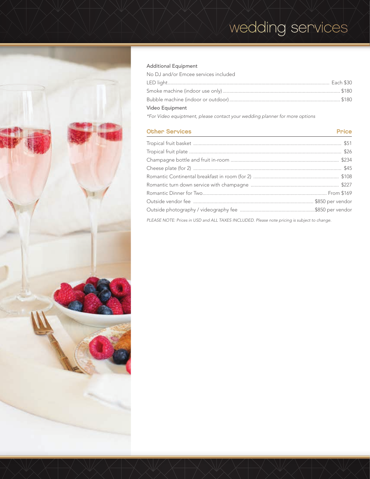## wedding services



### Additional Equipment

No DJ and/or Emcee services included

| Video Equipment |  |
|-----------------|--|

\*For Video equiptment, please contact your wedding planner for more options

### Other Services **Price** Price **Price**

PLEASE NOTE: Prices in USD and ALL TAXES INCLUDED. Please note pricing is subject to change.